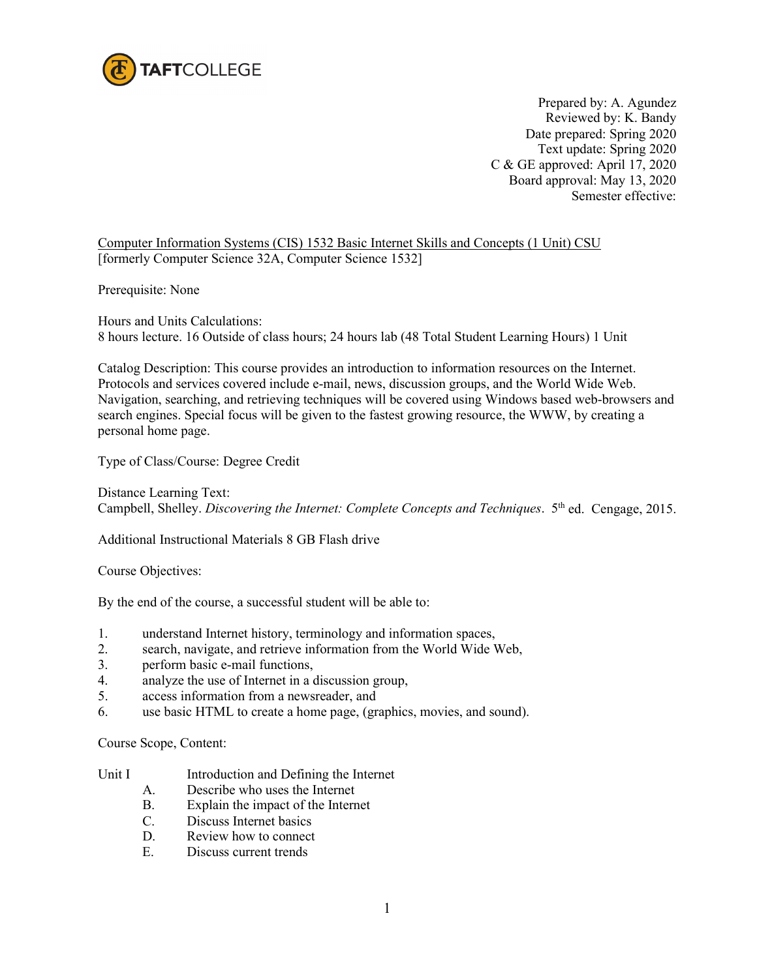

Prepared by: A. Agundez Reviewed by: K. Bandy Date prepared: Spring 2020 Text update: Spring 2020 C & GE approved: April 17, 2020 Board approval: May 13, 2020 Semester effective:

Computer Information Systems (CIS) 1532 Basic Internet Skills and Concepts (1 Unit) CSU [formerly Computer Science 32A, Computer Science 1532]

Prerequisite: None

Hours and Units Calculations: 8 hours lecture. 16 Outside of class hours; 24 hours lab (48 Total Student Learning Hours) 1 Unit

Catalog Description: This course provides an introduction to information resources on the Internet. Protocols and services covered include e-mail, news, discussion groups, and the World Wide Web. Navigation, searching, and retrieving techniques will be covered using Windows based web-browsers and search engines. Special focus will be given to the fastest growing resource, the WWW, by creating a personal home page.

Type of Class/Course: Degree Credit

Distance Learning Text: Campbell, Shelley. *Discovering the Internet: Complete Concepts and Techniques*. 5th ed. Cengage, 2015.

Additional Instructional Materials 8 GB Flash drive

Course Objectives:

By the end of the course, a successful student will be able to:

- 1. understand Internet history, terminology and information spaces,
- 2. search, navigate, and retrieve information from the World Wide Web,
- 3. perform basic e-mail functions,<br>4. analyze the use of Internet in a c
- analyze the use of Internet in a discussion group,
- 5. access information from a newsreader, and
- 6. use basic HTML to create a home page, (graphics, movies, and sound).

Course Scope, Content:

## Unit I Introduction and Defining the Internet

- A. Describe who uses the Internet
- B. Explain the impact of the Internet
- C. Discuss Internet basics
- D. Review how to connect
- E. Discuss current trends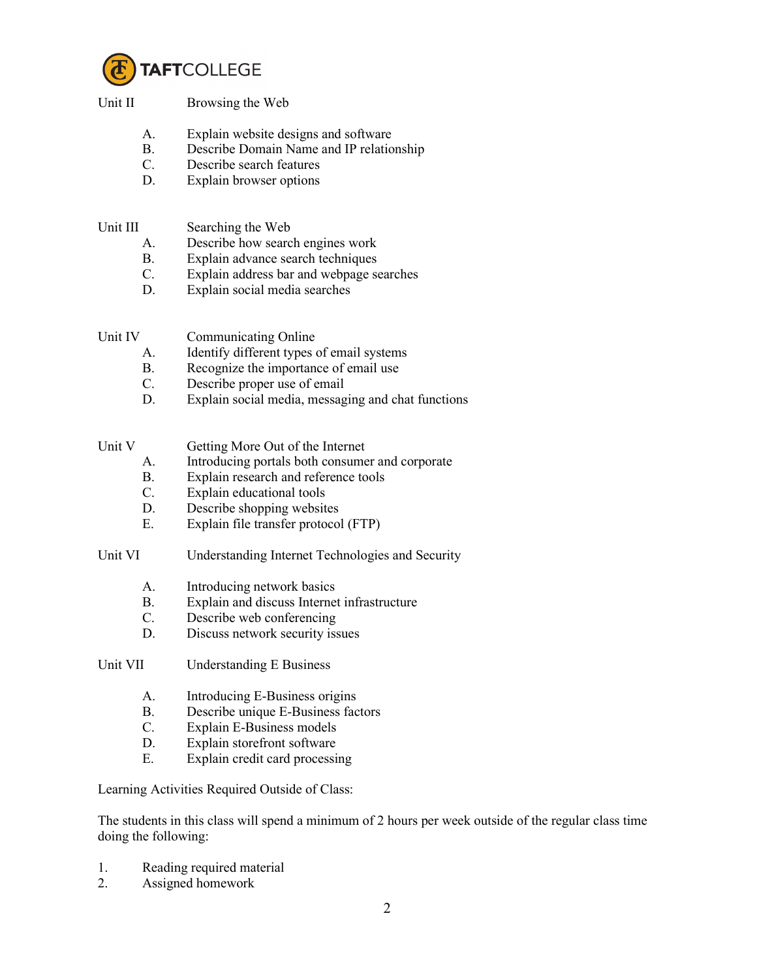

## Unit II Browsing the Web

- A. Explain website designs and software
- B. Describe Domain Name and IP relationship
- C. Describe search features
- D. Explain browser options

## Unit III Searching the Web

- A. Describe how search engines work
- B. Explain advance search techniques
- C. Explain address bar and webpage searches
- D. Explain social media searches

Unit IV Communicating Online

- A. Identify different types of email systems
- B. Recognize the importance of email use
- C. Describe proper use of email
- D. Explain social media, messaging and chat functions

- Unit V Getting More Out of the Internet
	- A. Introducing portals both consumer and corporate
	- B. Explain research and reference tools
	- C. Explain educational tools
	- D. Describe shopping websites
	- E. Explain file transfer protocol (FTP)

Unit VI Understanding Internet Technologies and Security

- A. Introducing network basics
- B. Explain and discuss Internet infrastructure
- C. Describe web conferencing
- D. Discuss network security issues

Unit VII Understanding E Business

- A. Introducing E-Business origins
- B. Describe unique E-Business factors
- C. Explain E-Business models
- D. Explain storefront software
- E. Explain credit card processing

Learning Activities Required Outside of Class:

The students in this class will spend a minimum of 2 hours per week outside of the regular class time doing the following:

- 1. Reading required material
- 2. Assigned homework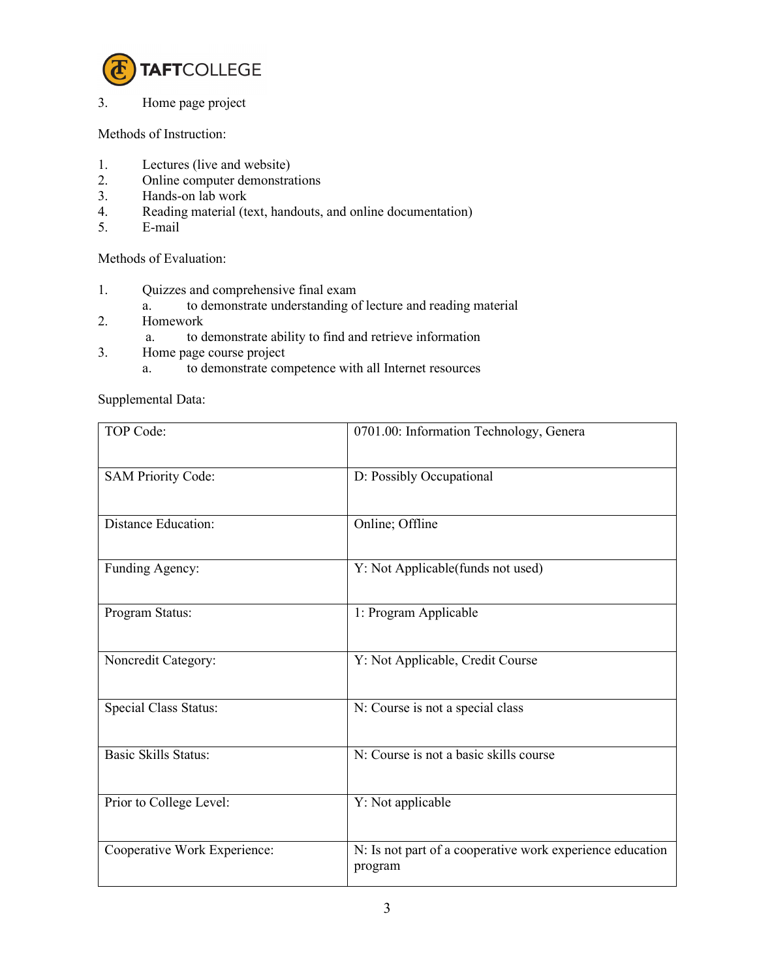

3. Home page project

Methods of Instruction:

- 1. Lectures (live and website)
- 2. Online computer demonstrations
- 3. Hands-on lab work
- 4. Reading material (text, handouts, and online documentation)<br>5. E-mail
- 5. E-mail

Methods of Evaluation:

- 1. Quizzes and comprehensive final exam
	- a. to demonstrate understanding of lecture and reading material
- 2. Homework
	- a. to demonstrate ability to find and retrieve information
- 3. Home page course project
	- a. to demonstrate competence with all Internet resources

Supplemental Data:

| TOP Code:                    | 0701.00: Information Technology, Genera                              |
|------------------------------|----------------------------------------------------------------------|
| <b>SAM Priority Code:</b>    | D: Possibly Occupational                                             |
| <b>Distance Education:</b>   | Online; Offline                                                      |
| Funding Agency:              | Y: Not Applicable(funds not used)                                    |
| Program Status:              | 1: Program Applicable                                                |
| Noncredit Category:          | Y: Not Applicable, Credit Course                                     |
| Special Class Status:        | N: Course is not a special class                                     |
| <b>Basic Skills Status:</b>  | N: Course is not a basic skills course                               |
| Prior to College Level:      | Y: Not applicable                                                    |
| Cooperative Work Experience: | N: Is not part of a cooperative work experience education<br>program |